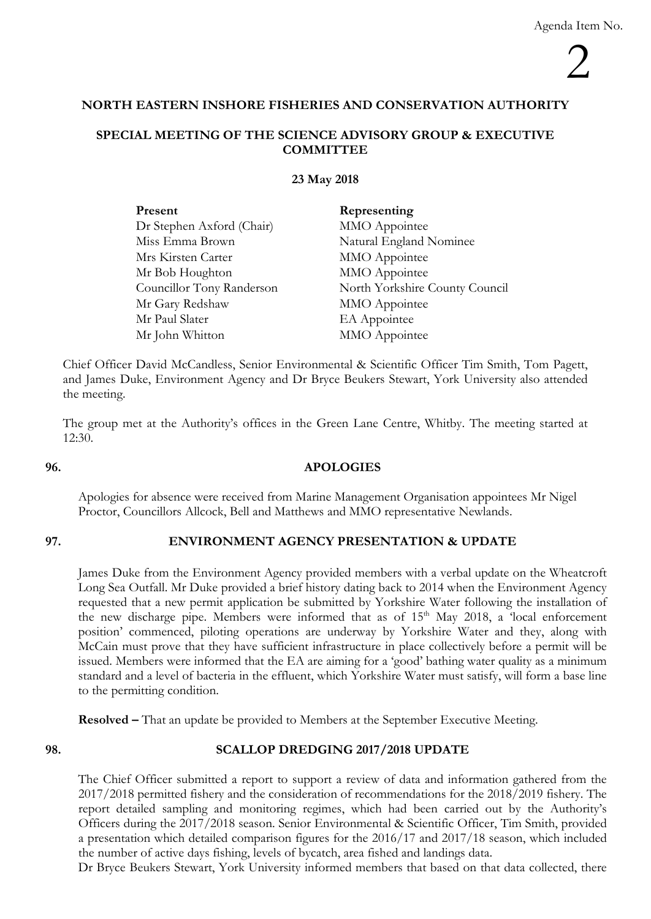# **NORTH EASTERN INSHORE FISHERIES AND CONSERVATION AUTHORITY**

## **SPECIAL MEETING OF THE SCIENCE ADVISORY GROUP & EXECUTIVE COMMITTEE**

## **23 May 2018**

| Present                   | Representing                   |
|---------------------------|--------------------------------|
| Dr Stephen Axford (Chair) | MMO Appointee                  |
| Miss Emma Brown           | Natural England Nominee        |
| Mrs Kirsten Carter        | MMO Appointee                  |
| Mr Bob Houghton           | MMO Appointee                  |
| Councillor Tony Randerson | North Yorkshire County Council |
| Mr Gary Redshaw           | MMO Appointee                  |
| Mr Paul Slater            | EA Appointee                   |
| Mr John Whitton           | MMO Appointee                  |

Chief Officer David McCandless, Senior Environmental & Scientific Officer Tim Smith, Tom Pagett, and James Duke, Environment Agency and Dr Bryce Beukers Stewart, York University also attended the meeting.

The group met at the Authority's offices in the Green Lane Centre, Whitby. The meeting started at  $12:30.$ 

## **96. APOLOGIES**

Apologies for absence were received from Marine Management Organisation appointees Mr Nigel Proctor, Councillors Allcock, Bell and Matthews and MMO representative Newlands.

## **97. ENVIRONMENT AGENCY PRESENTATION & UPDATE**

James Duke from the Environment Agency provided members with a verbal update on the Wheatcroft Long Sea Outfall. Mr Duke provided a brief history dating back to 2014 when the Environment Agency requested that a new permit application be submitted by Yorkshire Water following the installation of the new discharge pipe. Members were informed that as of  $15<sup>th</sup>$  May 2018, a 'local enforcement position' commenced, piloting operations are underway by Yorkshire Water and they, along with McCain must prove that they have sufficient infrastructure in place collectively before a permit will be issued. Members were informed that the EA are aiming for a 'good' bathing water quality as a minimum standard and a level of bacteria in the effluent, which Yorkshire Water must satisfy, will form a base line to the permitting condition.

**Resolved –** That an update be provided to Members at the September Executive Meeting.

## **98. SCALLOP DREDGING 2017/2018 UPDATE**

The Chief Officer submitted a report to support a review of data and information gathered from the 2017/2018 permitted fishery and the consideration of recommendations for the 2018/2019 fishery. The report detailed sampling and monitoring regimes, which had been carried out by the Authority's Officers during the 2017/2018 season. Senior Environmental & Scientific Officer, Tim Smith, provided a presentation which detailed comparison figures for the 2016/17 and 2017/18 season, which included the number of active days fishing, levels of bycatch, area fished and landings data.

Dr Bryce Beukers Stewart, York University informed members that based on that data collected, there